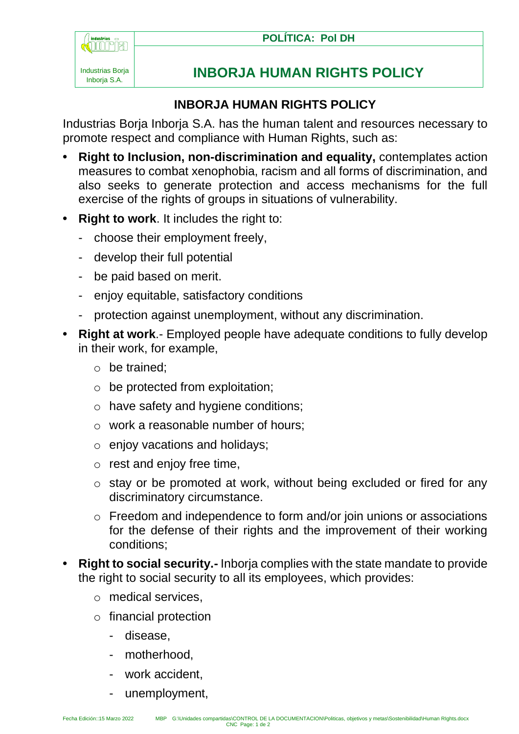



## **INBORJA HUMAN RIGHTS POLICY**

## **INBORJA HUMAN RIGHTS POLICY**

Industrias Borja Inborja S.A. has the human talent and resources necessary to promote respect and compliance with Human Rights, such as:

- **• Right to Inclusion, non-discrimination and equality,** contemplates action measures to combat xenophobia, racism and all forms of discrimination, and also seeks to generate protection and access mechanisms for the full exercise of the rights of groups in situations of vulnerability.
- **• Right to work**. It includes the right to:
	- choose their employment freely,
	- develop their full potential
	- be paid based on merit.
	- enjoy equitable, satisfactory conditions
	- protection against unemployment, without any discrimination.
- **• Right at work**.- Employed people have adequate conditions to fully develop in their work, for example,
	- o be trained;
	- $\circ$  be protected from exploitation;
	- o have safety and hygiene conditions;
	- o work a reasonable number of hours;
	- $\circ$  enjoy vacations and holidays;
	- $\circ$  rest and enjoy free time,
	- o stay or be promoted at work, without being excluded or fired for any discriminatory circumstance.
	- o Freedom and independence to form and/or join unions or associations for the defense of their rights and the improvement of their working conditions;
- **• Right to social security.-** Inborja complies with the state mandate to provide the right to social security to all its employees, which provides:
	- o medical services,
	- o financial protection
		- disease,
		- motherhood.
		- work accident,
		- unemployment,